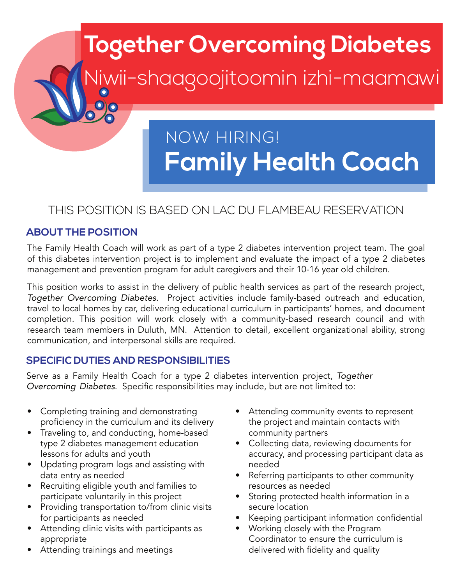# **Family Health Coach** NOW HIRING!

**Together Overcoming Diabetes**

Niwii-shaagoojitoomin izhi-maamawi

## THIS POSITION IS BASED ON LAC DU FLAMBEAU RESERVATION

#### **ABOUT THE POSITION**

The Family Health Coach will work as part of a type 2 diabetes intervention project team. The goal of this diabetes intervention project is to implement and evaluate the impact of a type 2 diabetes management and prevention program for adult caregivers and their 10-16 year old children.

This position works to assist in the delivery of public health services as part of the research project, *Together Overcoming Diabetes*. Project activities include family-based outreach and education, travel to local homes by car, delivering educational curriculum in participants' homes, and document completion. This position will work closely with a community-based research council and with research team members in Duluth, MN. Attention to detail, excellent organizational ability, strong communication, and interpersonal skills are required.

#### **SPECIFIC DUTIES AND RESPONSIBILITIES**

Serve as a Family Health Coach for a type 2 diabetes intervention project, *Together Overcoming Diabetes*. Specific responsibilities may include, but are not limited to:

- Completing training and demonstrating proficiency in the curriculum and its delivery
- Traveling to, and conducting, home-based type 2 diabetes management education lessons for adults and youth
- Updating program logs and assisting with data entry as needed
- Recruiting eligible youth and families to participate voluntarily in this project
- Providing transportation to/from clinic visits for participants as needed
- Attending clinic visits with participants as appropriate
- Attending trainings and meetings
- Attending community events to represent the project and maintain contacts with community partners
- Collecting data, reviewing documents for accuracy, and processing participant data as needed
- Referring participants to other community resources as needed
- Storing protected health information in a secure location
- Keeping participant information confidential
- Working closely with the Program Coordinator to ensure the curriculum is delivered with fidelity and quality